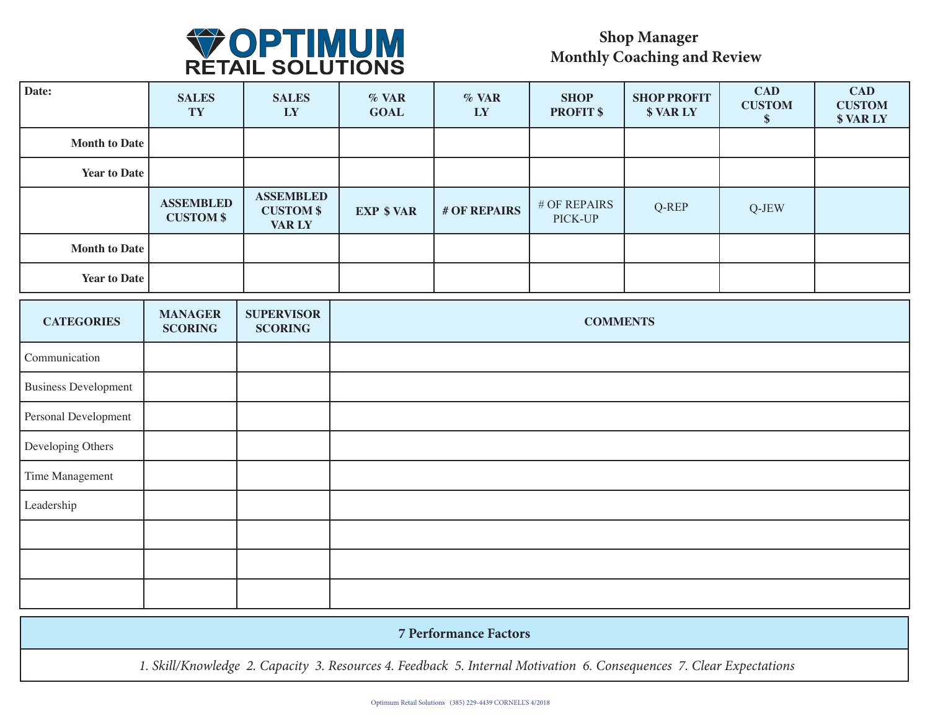

## **Shop Manager Monthly Coaching and Review**

| Date:                       | <b>SALES</b><br>TY                   | <b>SALES</b><br>LY                                    | % VAR<br><b>GOAL</b> | % VAR<br>LY  | <b>SHOP</b><br><b>PROFIT \$</b> | <b>SHOP PROFIT</b><br><b>\$VARLY</b> | <b>CAD</b><br><b>CUSTOM</b><br>\$ | <b>CAD</b><br><b>CUSTOM</b><br><b>\$VARLY</b> |
|-----------------------------|--------------------------------------|-------------------------------------------------------|----------------------|--------------|---------------------------------|--------------------------------------|-----------------------------------|-----------------------------------------------|
| <b>Month to Date</b>        |                                      |                                                       |                      |              |                                 |                                      |                                   |                                               |
| <b>Year to Date</b>         |                                      |                                                       |                      |              |                                 |                                      |                                   |                                               |
|                             | <b>ASSEMBLED</b><br><b>CUSTOM \$</b> | <b>ASSEMBLED</b><br><b>CUSTOM \$</b><br><b>VAR LY</b> | <b>EXP \$ VAR</b>    | # OF REPAIRS | # OF REPAIRS<br>PICK-UP         | Q-REP                                | Q-JEW                             |                                               |
| <b>Month to Date</b>        |                                      |                                                       |                      |              |                                 |                                      |                                   |                                               |
| <b>Year to Date</b>         |                                      |                                                       |                      |              |                                 |                                      |                                   |                                               |
| <b>CATEGORIES</b>           | <b>MANAGER</b><br><b>SCORING</b>     | <b>SUPERVISOR</b><br><b>SCORING</b>                   | <b>COMMENTS</b>      |              |                                 |                                      |                                   |                                               |
| Communication               |                                      |                                                       |                      |              |                                 |                                      |                                   |                                               |
| <b>Business Development</b> |                                      |                                                       |                      |              |                                 |                                      |                                   |                                               |
| Personal Development        |                                      |                                                       |                      |              |                                 |                                      |                                   |                                               |
| Developing Others           |                                      |                                                       |                      |              |                                 |                                      |                                   |                                               |
| Time Management             |                                      |                                                       |                      |              |                                 |                                      |                                   |                                               |
| Leadership                  |                                      |                                                       |                      |              |                                 |                                      |                                   |                                               |
|                             |                                      |                                                       |                      |              |                                 |                                      |                                   |                                               |
|                             |                                      |                                                       |                      |              |                                 |                                      |                                   |                                               |
|                             |                                      |                                                       |                      |              |                                 |                                      |                                   |                                               |

|  | <b>7 Performance Factors</b> |
|--|------------------------------|
|  |                              |

*1. Skill/Knowledge 2. Capacity 3. Resources 4. Feedback 5. Internal Motivation 6. Consequences 7. Clear Expectations*